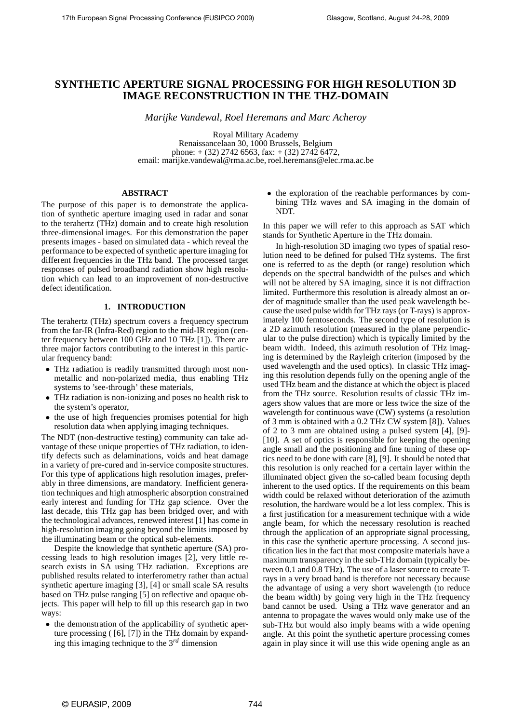# **SYNTHETIC APERTURE SIGNAL PROCESSING FOR HIGH RESOLUTION 3D IMAGE RECONSTRUCTION IN THE THZ-DOMAIN**

*Marijke Vandewal, Roel Heremans and Marc Acheroy*

Royal Military Academy Renaissancelaan 30, 1000 Brussels, Belgium phone:  $+(32)$  2742 6563, fax:  $+(32)$  2742 6472, email: marijke.vandewal@rma.ac.be, roel.heremans@elec.rma.ac.be

## **ABSTRACT**

The purpose of this paper is to demonstrate the application of synthetic aperture imaging used in radar and sonar to the terahertz (THz) domain and to create high resolution three-dimensional images. For this demonstration the paper presents images - based on simulated data - which reveal the performance to be expected of synthetic aperture imaging for different frequencies in the THz band. The processed target responses of pulsed broadband radiation show high resolution which can lead to an improvement of non-destructive defect identification.

# **1. INTRODUCTION**

The terahertz (THz) spectrum covers a frequency spectrum from the far-IR (Infra-Red) region to the mid-IR region (center frequency between 100 GHz and 10 THz [1]). There are three major factors contributing to the interest in this particular frequency band:

- THz radiation is readily transmitted through most nonmetallic and non-polarized media, thus enabling THz systems to 'see-through' these materials,
- THz radiation is non-ionizing and poses no health risk to the system's operator,
- the use of high frequencies promises potential for high resolution data when applying imaging techniques.

The NDT (non-destructive testing) community can take advantage of these unique properties of THz radiation, to identify defects such as delaminations, voids and heat damage in a variety of pre-cured and in-service composite structures. For this type of applications high resolution images, preferably in three dimensions, are mandatory. Inefficient generation techniques and high atmospheric absorption constrained early interest and funding for THz gap science. Over the last decade, this THz gap has been bridged over, and with the technological advances, renewed interest [1] has come in high-resolution imaging going beyond the limits imposed by the illuminating beam or the optical sub-elements.

Despite the knowledge that synthetic aperture (SA) processing leads to high resolution images [2], very little research exists in SA using THz radiation. Exceptions are published results related to interferometry rather than actual synthetic aperture imaging [3], [4] or small scale SA results based on THz pulse ranging [5] on reflective and opaque objects. This paper will help to fill up this research gap in two ways:

• the demonstration of the applicability of synthetic aperture processing ( [6], [7]) in the THz domain by expanding this imaging technique to the 3*rd* dimension

• the exploration of the reachable performances by combining THz waves and SA imaging in the domain of NDT.

In this paper we will refer to this approach as SAT which stands for Synthetic Aperture in the THz domain.

In high-resolution 3D imaging two types of spatial resolution need to be defined for pulsed THz systems. The first one is referred to as the depth (or range) resolution which depends on the spectral bandwidth of the pulses and which will not be altered by SA imaging, since it is not diffraction limited. Furthermore this resolution is already almost an order of magnitude smaller than the used peak wavelength because the used pulse width for THz rays (or T-rays) is approximately 100 femtoseconds. The second type of resolution is a 2D azimuth resolution (measured in the plane perpendicular to the pulse direction) which is typically limited by the beam width. Indeed, this azimuth resolution of THz imaging is determined by the Rayleigh criterion (imposed by the used wavelength and the used optics). In classic THz imaging this resolution depends fully on the opening angle of the used THz beam and the distance at which the object is placed from the THz source. Resolution results of classic THz imagers show values that are more or less twice the size of the wavelength for continuous wave (CW) systems (a resolution of 3 mm is obtained with a 0.2 THz CW system [8]). Values of 2 to 3 mm are obtained using a pulsed system [4], [9]- [10]. A set of optics is responsible for keeping the opening angle small and the positioning and fine tuning of these optics need to be done with care [8], [9]. It should be noted that this resolution is only reached for a certain layer within the illuminated object given the so-called beam focusing depth inherent to the used optics. If the requirements on this beam width could be relaxed without deterioration of the azimuth resolution, the hardware would be a lot less complex. This is a first justification for a measurement technique with a wide angle beam, for which the necessary resolution is reached through the application of an appropriate signal processing, in this case the synthetic aperture processing. A second justification lies in the fact that most composite materials have a maximum transparency in the sub-THz domain (typically between 0.1 and 0.8 THz). The use of a laser source to create Trays in a very broad band is therefore not necessary because the advantage of using a very short wavelength (to reduce the beam width) by going very high in the THz frequency band cannot be used. Using a THz wave generator and an antenna to propagate the waves would only make use of the sub-THz but would also imply beams with a wide opening angle. At this point the synthetic aperture processing comes again in play since it will use this wide opening angle as an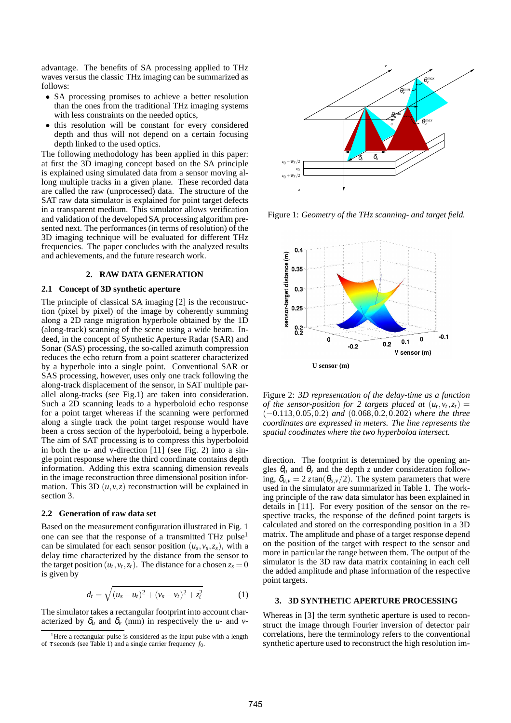advantage. The benefits of SA processing applied to THz waves versus the classic THz imaging can be summarized as follows:

- SA processing promises to achieve a better resolution than the ones from the traditional THz imaging systems with less constraints on the needed optics,
- this resolution will be constant for every considered depth and thus will not depend on a certain focusing depth linked to the used optics.

The following methodology has been applied in this paper: at first the 3D imaging concept based on the SA principle is explained using simulated data from a sensor moving allong multiple tracks in a given plane. These recorded data are called the raw (unprocessed) data. The structure of the SAT raw data simulator is explained for point target defects in a transparent medium. This simulator allows verification and validation of the developed SA processing algorithm presented next. The performances (in terms of resolution) of the 3D imaging technique will be evaluated for different THz frequencies. The paper concludes with the analyzed results and achievements, and the future research work.

## **2. RAW DATA GENERATION**

#### **2.1 Concept of 3D synthetic aperture**

The principle of classical SA imaging [2] is the reconstruction (pixel by pixel) of the image by coherently summing along a 2D range migration hyperbole obtained by the 1D (along-track) scanning of the scene using a wide beam. Indeed, in the concept of Synthetic Aperture Radar (SAR) and Sonar (SAS) processing, the so-called azimuth compression reduces the echo return from a point scatterer characterized by a hyperbole into a single point. Conventional SAR or SAS processing, however, uses only one track following the along-track displacement of the sensor, in SAT multiple parallel along-tracks (see Fig.1) are taken into consideration. Such a 2D scanning leads to a hyperboloid echo response for a point target whereas if the scanning were performed along a single track the point target response would have been a cross section of the hyperboloid, being a hyperbole. The aim of SAT processing is to compress this hyperboloid in both the u- and v-direction [11] (see Fig. 2) into a single point response where the third coordinate contains depth information. Adding this extra scanning dimension reveals in the image reconstruction three dimensional position information. This 3D  $(u, v, z)$  reconstruction will be explained in section 3.

#### **2.2 Generation of raw data set**

Based on the measurement configuration illustrated in Fig. 1 one can see that the response of a transmitted THz pulse<sup>1</sup> can be simulated for each sensor position  $(u_s, v_s, z_s)$ , with a delay time characterized by the distance from the sensor to the target position  $(u_t, v_t, z_t)$ . The distance for a chosen  $z_s = 0$ is given by

$$
d_t = \sqrt{(u_s - u_t)^2 + (v_s - v_t)^2 + z_t^2}
$$
 (1)

The simulator takes a rectangular footprint into account characterized by  $\delta_u$  and  $\delta_v$  (mm) in respectively the *u*- and *v*-



Figure 1: *Geometry of the THz scanning- and target field.*



Figure 2: *3D representation of the delay-time as a function of the sensor-position for 2 targets placed at*  $(u_t, v_t, z_t) =$ (−0.113,0.05,0.2) *and* (0.068,0.2,0.202) *where the three coordinates are expressed in meters. The line represents the spatial coodinates where the two hyperboloa intersect.*

direction. The footprint is determined by the opening angles  $\theta_u$  and  $\theta_v$  and the depth *z* under consideration following,  $\delta_{u,v} = 2 \tau \tan(\theta_{u,v}/2)$ . The system parameters that were used in the simulator are summarized in Table 1. The working principle of the raw data simulator has been explained in details in [11]. For every position of the sensor on the respective tracks, the response of the defined point targets is calculated and stored on the corresponding position in a 3D matrix. The amplitude and phase of a target response depend on the position of the target with respect to the sensor and more in particular the range between them. The output of the simulator is the 3D raw data matrix containing in each cell the added amplitude and phase information of the respective point targets.

## **3. 3D SYNTHETIC APERTURE PROCESSING**

Whereas in [3] the term synthetic aperture is used to reconstruct the image through Fourier inversion of detector pair correlations, here the terminology refers to the conventional synthetic aperture used to reconstruct the high resolution im-

<sup>&</sup>lt;sup>1</sup>Here a rectangular pulse is considered as the input pulse with a length of  $\tau$  seconds (see Table 1) and a single carrier frequency  $f_0$ .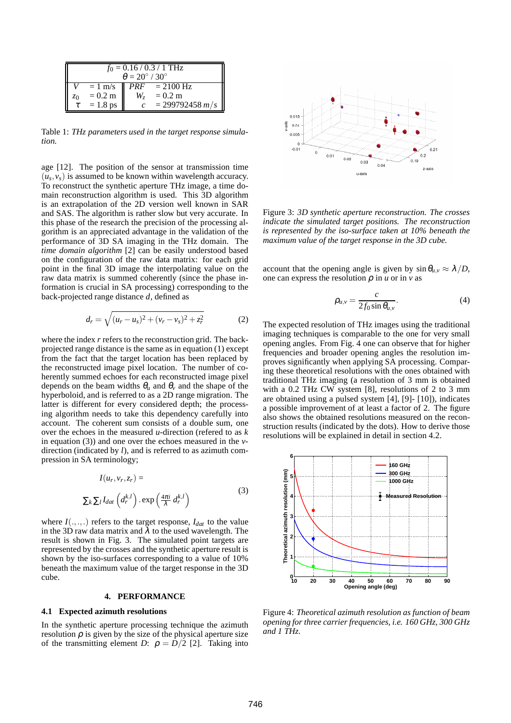| $f_0 = 0.16 / 0.3 / 1$ THz<br>$\theta = 20^{\circ}$ / 30 $^{\circ}$ |                   |    |                                  |
|---------------------------------------------------------------------|-------------------|----|----------------------------------|
|                                                                     |                   |    | $= 1$ m/s $\sqrt{PRF} = 2100$ Hz |
| z <sub>0</sub>                                                      | $= 0.2 \text{ m}$ | W, | $= 0.2 \text{ m}$                |
|                                                                     | $= 1.8$ ps        |    | $= 299792458 m/s$                |

Table 1: *THz parameters used in the target response simulation.*

age [12]. The position of the sensor at transmission time  $(u_s, v_s)$  is assumed to be known within wavelength accuracy. To reconstruct the synthetic aperture THz image, a time domain reconstruction algorithm is used. This 3D algorithm is an extrapolation of the 2D version well known in SAR and SAS. The algorithm is rather slow but very accurate. In this phase of the research the precision of the processing algorithm is an appreciated advantage in the validation of the performance of 3D SA imaging in the THz domain. The *time domain algorithm* [2] can be easily understood based on the configuration of the raw data matrix: for each grid point in the final 3D image the interpolating value on the raw data matrix is summed coherently (since the phase information is crucial in SA processing) corresponding to the back-projected range distance *d*, defined as

$$
d_r = \sqrt{(u_r - u_s)^2 + (v_r - v_s)^2 + z_r^2}
$$
 (2)

where the index *r* refers to the reconstruction grid. The backprojected range distance is the same as in equation (1) except from the fact that the target location has been replaced by the reconstructed image pixel location. The number of coherently summed echoes for each reconstructed image pixel depends on the beam widths  $\theta_u$  and  $\theta_v$  and the shape of the hyperboloid, and is referred to as a 2D range migration. The latter is different for every considered depth; the processing algorithm needs to take this dependency carefully into account. The coherent sum consists of a double sum, one over the echoes in the measured *u*-direction (refered to as *k* in equation (3)) and one over the echoes measured in the *v*direction (indicated by *l*), and is referred to as azimuth compression in SA terminology;

$$
I(u_r, v_r, z_r) =
$$
  

$$
\sum_{k} \sum_{l} I_{dat} \left( d_r^{k,l} \right) . \exp \left( \frac{4\pi i}{\lambda} d_r^{k,l} \right)
$$
 (3)

where  $I(.,.,.)$  refers to the target response,  $I_{dat}$  to the value in the 3D raw data matrix and  $\lambda$  to the used wavelength. The result is shown in Fig. 3. The simulated point targets are represented by the crosses and the synthetic aperture result is shown by the iso-surfaces corresponding to a value of 10% beneath the maximum value of the target response in the 3D cube.

### **4. PERFORMANCE**

#### **4.1 Expected azimuth resolutions**

In the synthetic aperture processing technique the azimuth resolution  $\rho$  is given by the size of the physical aperture size of the transmitting element *D*:  $\rho = D/2$  [2]. Taking into



Figure 3: *3D synthetic aperture reconstruction. The crosses indicate the simulated target positions. The reconstruction is represented by the iso-surface taken at 10% beneath the maximum value of the target response in the 3D cube.*

account that the opening angle is given by  $\sin \theta_{u,v} \approx \lambda/D$ , one can express the resolution  $\rho$  in  $u$  or in  $v$  as

$$
\rho_{u,v} = \frac{c}{2f_0 \sin \theta_{u,v}}.\tag{4}
$$

The expected resolution of THz images using the traditional imaging techniques is comparable to the one for very small opening angles. From Fig. 4 one can observe that for higher frequencies and broader opening angles the resolution improves significantly when applying SA processing. Comparing these theoretical resolutions with the ones obtained with traditional THz imaging (a resolution of 3 mm is obtained with a 0.2 THz CW system [8], resolutions of 2 to 3 mm are obtained using a pulsed system [4], [9]- [10]), indicates a possible improvement of at least a factor of 2. The figure also shows the obtained resolutions measured on the reconstruction results (indicated by the dots). How to derive those resolutions will be explained in detail in section 4.2.



Figure 4: *Theoretical azimuth resolution as function of beam opening for three carrier frequencies, i.e. 160 GHz, 300 GHz and 1 THz.*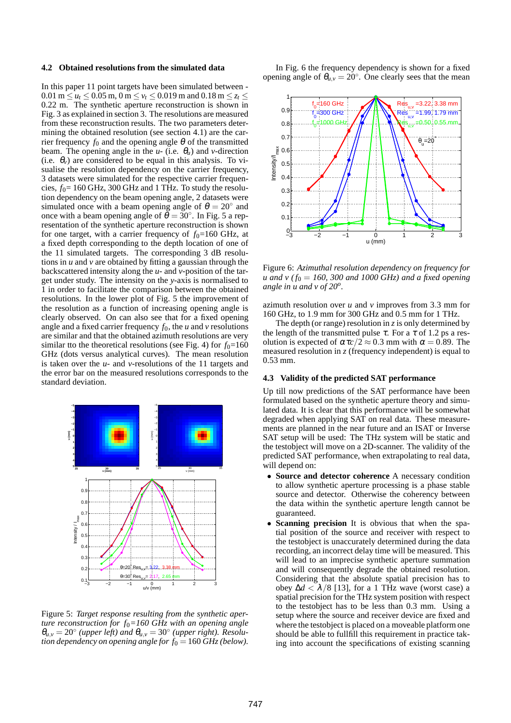### **4.2 Obtained resolutions from the simulated data**

In this paper 11 point targets have been simulated between - 0.01 m  $\le u_t \le 0.05$  m, 0 m  $\le v_t \le 0.019$  m and 0.18 m  $\le z_t \le$ 0.22 m. The synthetic aperture reconstruction is shown in Fig. 3 as explained in section 3. The resolutions are measured from these reconstruction results. The two parameters determining the obtained resolution (see section 4.1) are the carrier frequency  $f_0$  and the opening angle  $\theta$  of the transmitted beam. The opening angle in the  $u$ - (i.e.  $\theta_u$ ) and *v*-direction (i.e.  $\theta_\nu$ ) are considered to be equal in this analysis. To visualise the resolution dependency on the carrier frequency, 3 datasets were simulated for the respective carrier frequencies,  $f_0 = 160$  GHz, 300 GHz and 1 THz. To study the resolution dependency on the beam opening angle, 2 datasets were simulated once with a beam opening angle of  $\theta = 20^\circ$  and once with a beam opening angle of  $\theta = 30^\circ$ . In Fig. 5 a representation of the synthetic aperture reconstruction is shown for one target, with a carrier frequency of  $f_0=160$  GHz, at a fixed depth corresponding to the depth location of one of the 11 simulated targets. The corresponding 3 dB resolutions in *u* and *v* are obtained by fitting a gaussian through the backscattered intensity along the *u*- and *v*-position of the target under study. The intensity on the *y*-axis is normalised to 1 in order to facilitate the comparison between the obtained resolutions. In the lower plot of Fig. 5 the improvement of the resolution as a function of increasing opening angle is clearly observed. On can also see that for a fixed opening angle and a fixed carrier frequency  $f_0$ , the *u* and *v* resolutions are similar and that the obtained azimuth resolutions are very similar tto the theoretical resolutions (see Fig. 4) for  $f_0=160$ GHz (dots versus analytical curves). The mean resolution is taken over the *u*- and *v*-resolutions of the 11 targets and the error bar on the measured resolutions corresponds to the standard deviation.



Figure 5: *Target response resulting from the synthetic aperture reconstruction for f*0*=160 GHz with an opening angle*  $\theta_{u,v} = 20^{\circ}$  (upper left) and  $\theta_{u,v} = 30^{\circ}$  (upper right). Resolu*tion dependency on opening angle for f*<sup>0</sup> = 160 *GHz (below).*

In Fig. 6 the frequency dependency is shown for a fixed opening angle of  $\theta_{u,v} = 20^\circ$ . One clearly sees that the mean



Figure 6: *Azimuthal resolution dependency on frequency for u* and *v* ( $f_0 = 160$ , 300 and 1000 GHz) and a fixed opening *angle in u and v of 20<sup>o</sup> .*

azimuth resolution over *u* and *v* improves from 3.3 mm for 160 GHz, to 1.9 mm for 300 GHz and 0.5 mm for 1 THz.

The depth (or range) resolution in  $\zeta$  is only determined by the length of the transmitted pulse  $\tau$ . For a  $\tau$  of 1.2 ps a resolution is expected of  $\alpha \tau_c/2 \approx 0.3$  mm with  $\alpha = 0.89$ . The measured resolution in  $\zeta$  (frequency independent) is equal to 0.53 mm.

## **4.3 Validity of the predicted SAT performance**

Up till now predictions of the SAT performance have been formulated based on the synthetic aperture theory and simulated data. It is clear that this performance will be somewhat degraded when applying SAT on real data. These measurements are planned in the near future and an ISAT or Inverse SAT setup will be used: The THz system will be static and the testobject will move on a 2D-scanner. The validity of the predicted SAT performance, when extrapolating to real data, will depend on:

- **Source and detector coherence** A necessary condition to allow synthetic aperture processing is a phase stable source and detector. Otherwise the coherency between the data within the synthetic aperture length cannot be guaranteed.
- **Scanning precision** It is obvious that when the spatial position of the source and receiver with respect to the testobject is unaccurately determined during the data recording, an incorrect delay time will be measured. This will lead to an imprecise synthetic aperture summation and will consequently degrade the obtained resolution. Considering that the absolute spatial precision has to obey  $\Delta d < \lambda/8$  [13], for a 1 THz wave (worst case) a spatial precision for the THz system position with respect to the testobject has to be less than 0.3 mm. Using a setup where the source and receiver device are fixed and where the testobject is placed on a moveable platform one should be able to fullfill this requirement in practice taking into account the specifications of existing scanning